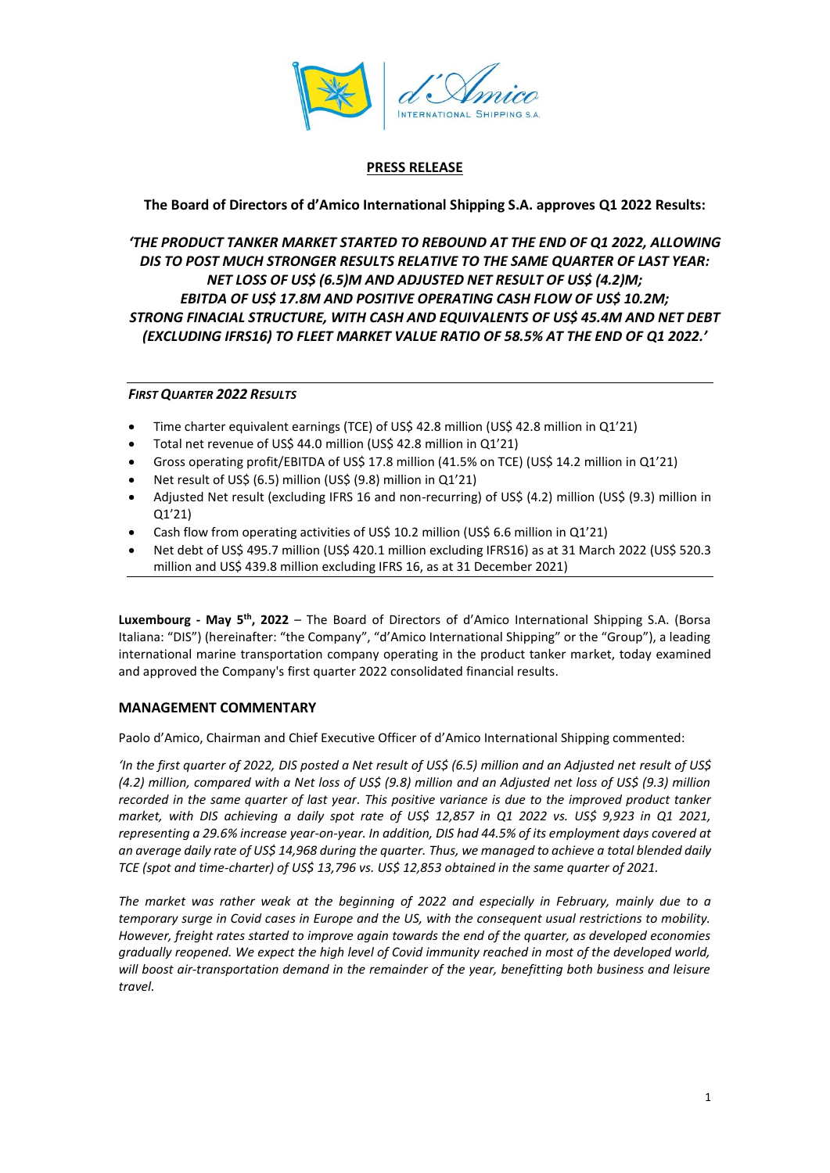

# **PRESS RELEASE**

# **The Board of Directors of d'Amico International Shipping S.A. approves Q1 2022 Results:**

# *'THE PRODUCT TANKER MARKET STARTED TO REBOUND AT THE END OF Q1 2022, ALLOWING DIS TO POST MUCH STRONGER RESULTS RELATIVE TO THE SAME QUARTER OF LAST YEAR: NET LOSS OF US\$ (6.5)M AND ADJUSTED NET RESULT OF US\$ (4.2)M; EBITDA OF US\$ 17.8M AND POSITIVE OPERATING CASH FLOW OF US\$ 10.2M; STRONG FINACIAL STRUCTURE, WITH CASH AND EQUIVALENTS OF US\$ 45.4M AND NET DEBT (EXCLUDING IFRS16) TO FLEET MARKET VALUE RATIO OF 58.5% AT THE END OF Q1 2022.'*

# *FIRST QUARTER 2022 RESULTS*

- Time charter equivalent earnings (TCE) of US\$ 42.8 million (US\$ 42.8 million in Q1'21)
- Total net revenue of US\$ 44.0 million (US\$ 42.8 million in Q1'21)
- Gross operating profit/EBITDA of US\$ 17.8 million (41.5% on TCE) (US\$ 14.2 million in Q1'21)
- Net result of US\$ (6.5) million (US\$ (9.8) million in Q1'21)
- Adjusted Net result (excluding IFRS 16 and non-recurring) of US\$ (4.2) million (US\$ (9.3) million in Q1'21)
- Cash flow from operating activities of US\$ 10.2 million (US\$ 6.6 million in Q1'21)
- Net debt of US\$ 495.7 million (US\$ 420.1 million excluding IFRS16) as at 31 March 2022 (US\$ 520.3 million and US\$ 439.8 million excluding IFRS 16, as at 31 December 2021)

**Luxembourg - May 5 th, 2022** – The Board of Directors of d'Amico International Shipping S.A. (Borsa Italiana: "DIS") (hereinafter: "the Company", "d'Amico International Shipping" or the "Group"), a leading international marine transportation company operating in the product tanker market, today examined and approved the Company's first quarter 2022 consolidated financial results.

# **MANAGEMENT COMMENTARY**

Paolo d'Amico, Chairman and Chief Executive Officer of d'Amico International Shipping commented:

*'In the first quarter of 2022, DIS posted a Net result of US\$ (6.5) million and an Adjusted net result of US\$ (4.2) million, compared with a Net loss of US\$ (9.8) million and an Adjusted net loss of US\$ (9.3) million recorded in the same quarter of last year. This positive variance is due to the improved product tanker market, with DIS achieving a daily spot rate of US\$ 12,857 in Q1 2022 vs. US\$ 9,923 in Q1 2021, representing a 29.6% increase year-on-year. In addition, DIS had 44.5% of its employment days covered at an average daily rate of US\$ 14,968 during the quarter. Thus, we managed to achieve a total blended daily TCE (spot and time-charter) of US\$ 13,796 vs. US\$ 12,853 obtained in the same quarter of 2021.*

*The market was rather weak at the beginning of 2022 and especially in February, mainly due to a temporary surge in Covid cases in Europe and the US, with the consequent usual restrictions to mobility. However, freight rates started to improve again towards the end of the quarter, as developed economies gradually reopened. We expect the high level of Covid immunity reached in most of the developed world, will boost air-transportation demand in the remainder of the year, benefitting both business and leisure travel.*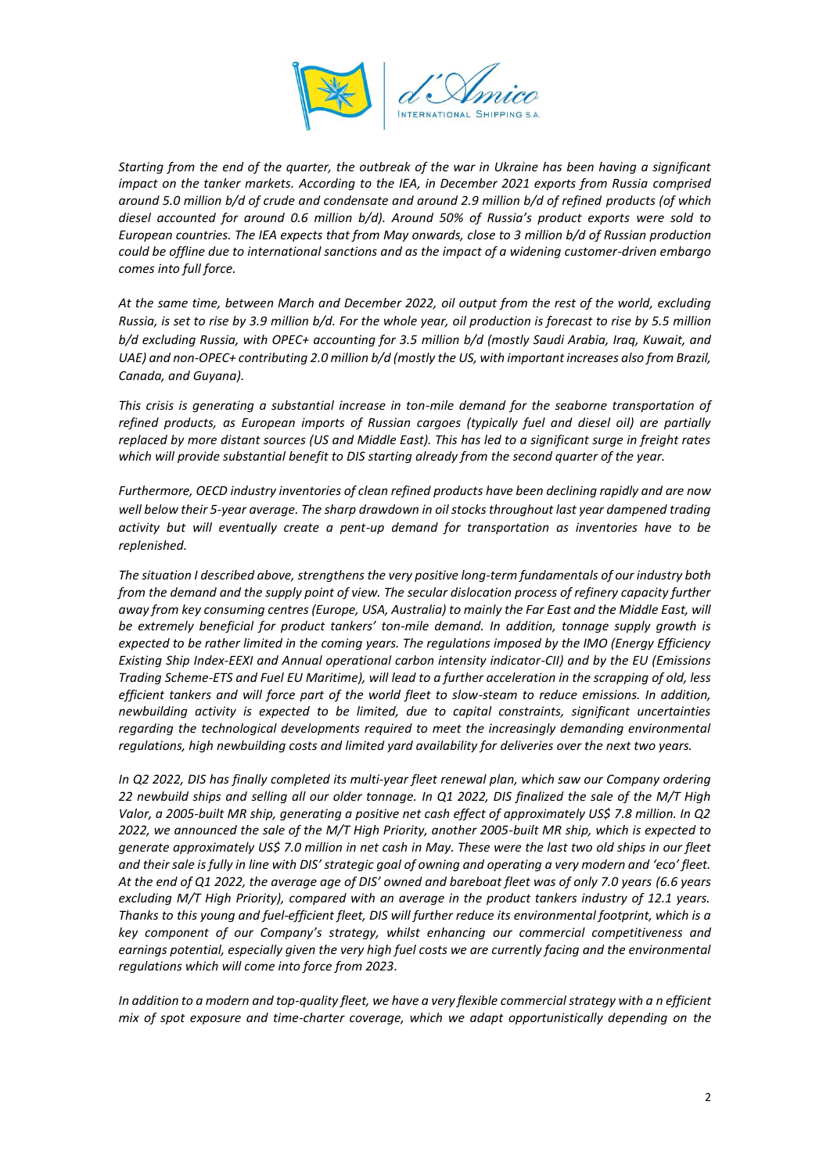

*Starting from the end of the quarter, the outbreak of the war in Ukraine has been having a significant impact on the tanker markets. According to the IEA, in December 2021 exports from Russia comprised around 5.0 million b/d of crude and condensate and around 2.9 million b/d of refined products (of which diesel accounted for around 0.6 million b/d). Around 50% of Russia's product exports were sold to European countries. The IEA expects that from May onwards, close to 3 million b/d of Russian production could be offline due to international sanctions and as the impact of a widening customer-driven embargo comes into full force.*

*At the same time, between March and December 2022, oil output from the rest of the world, excluding Russia, is set to rise by 3.9 million b/d. For the whole year, oil production is forecast to rise by 5.5 million b/d excluding Russia, with OPEC+ accounting for 3.5 million b/d (mostly Saudi Arabia, Iraq, Kuwait, and UAE) and non-OPEC+ contributing 2.0 million b/d (mostly the US, with important increases also from Brazil, Canada, and Guyana).*

*This crisis is generating a substantial increase in ton-mile demand for the seaborne transportation of refined products, as European imports of Russian cargoes (typically fuel and diesel oil) are partially replaced by more distant sources (US and Middle East). This has led to a significant surge in freight rates which will provide substantial benefit to DIS starting already from the second quarter of the year.*

*Furthermore, OECD industry inventories of clean refined products have been declining rapidly and are now well below their 5-year average. The sharp drawdown in oil stocks throughout last year dampened trading activity but will eventually create a pent-up demand for transportation as inventories have to be replenished.*

*The situation I described above, strengthens the very positive long-term fundamentals of our industry both from the demand and the supply point of view. The secular dislocation process of refinery capacity further away from key consuming centres (Europe, USA, Australia) to mainly the Far East and the Middle East, will be extremely beneficial for product tankers' ton-mile demand. In addition, tonnage supply growth is expected to be rather limited in the coming years. The regulations imposed by the IMO (Energy Efficiency Existing Ship Index-EEXI and Annual operational carbon intensity indicator-CII) and by the EU (Emissions Trading Scheme-ETS and Fuel EU Maritime), will lead to a further acceleration in the scrapping of old, less efficient tankers and will force part of the world fleet to slow-steam to reduce emissions. In addition, newbuilding activity is expected to be limited, due to capital constraints, significant uncertainties regarding the technological developments required to meet the increasingly demanding environmental regulations, high newbuilding costs and limited yard availability for deliveries over the next two years.*

In Q2 2022, DIS has finally completed its multi-year fleet renewal plan, which saw our Company ordering *22 newbuild ships and selling all our older tonnage. In Q1 2022, DIS finalized the sale of the M/T High Valor, a 2005-built MR ship, generating a positive net cash effect of approximately US\$ 7.8 million. In Q2 2022, we announced the sale of the M/T High Priority, another 2005-built MR ship, which is expected to generate approximately US\$ 7.0 million in net cash in May. These were the last two old ships in our fleet and their sale is fully in line with DIS' strategic goal of owning and operating a very modern and 'eco' fleet. At the end of Q1 2022, the average age of DIS' owned and bareboat fleet was of only 7.0 years (6.6 years excluding M/T High Priority), compared with an average in the product tankers industry of 12.1 years. Thanks to this young and fuel-efficient fleet, DIS will further reduce its environmental footprint, which is a key component of our Company's strategy, whilst enhancing our commercial competitiveness and*  earnings potential, especially given the very high fuel costs we are currently facing and the environmental *regulations which will come into force from 2023.*

*In addition to a modern and top-quality fleet, we have a very flexible commercial strategy with a n efficient mix of spot exposure and time-charter coverage, which we adapt opportunistically depending on the*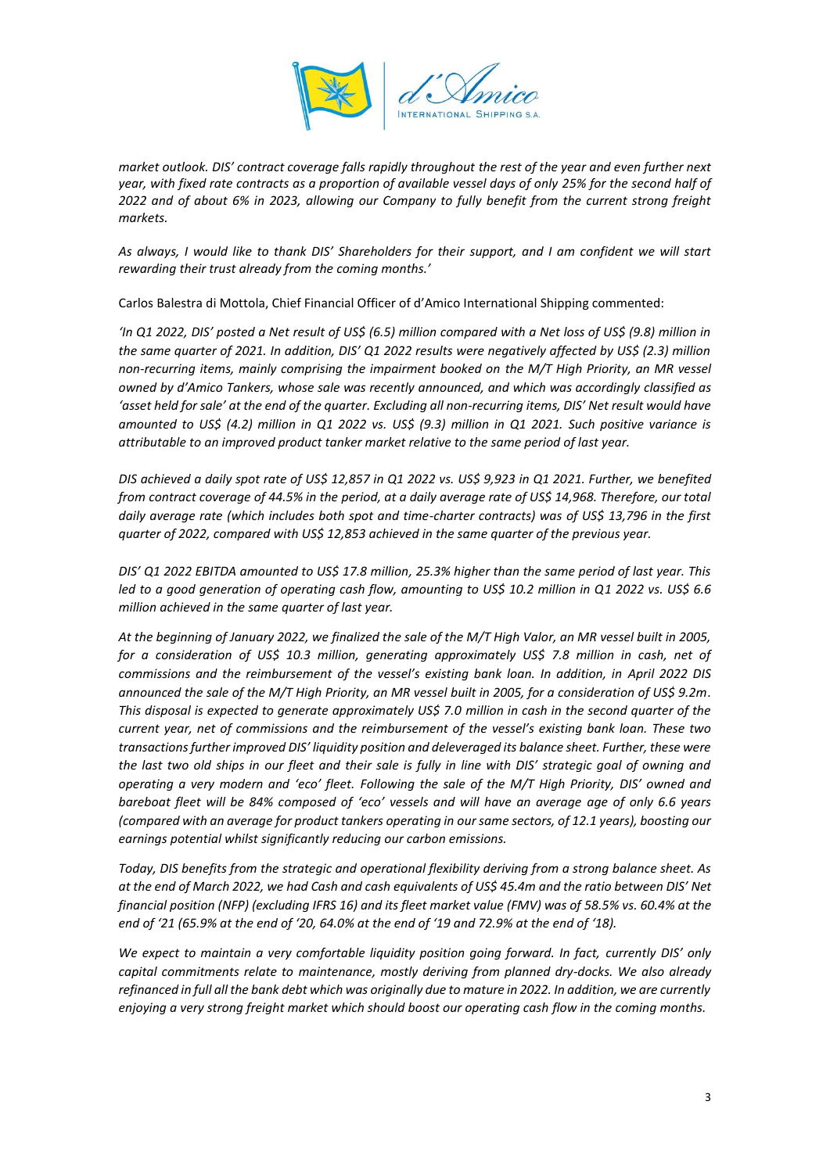

*market outlook. DIS' contract coverage falls rapidly throughout the rest of the year and even further next year, with fixed rate contracts as a proportion of available vessel days of only 25% for the second half of 2022 and of about 6% in 2023, allowing our Company to fully benefit from the current strong freight markets.*

*As always, I would like to thank DIS' Shareholders for their support, and I am confident we will start rewarding their trust already from the coming months.'*

Carlos Balestra di Mottola, Chief Financial Officer of d'Amico International Shipping commented:

*'In Q1 2022, DIS' posted a Net result of US\$ (6.5) million compared with a Net loss of US\$ (9.8) million in the same quarter of 2021. In addition, DIS' Q1 2022 results were negatively affected by US\$ (2.3) million non-recurring items, mainly comprising the impairment booked on the M/T High Priority, an MR vessel owned by d'Amico Tankers, whose sale was recently announced, and which was accordingly classified as 'asset held for sale' at the end of the quarter. Excluding all non-recurring items, DIS' Net result would have amounted to US\$ (4.2) million in Q1 2022 vs. US\$ (9.3) million in Q1 2021. Such positive variance is attributable to an improved product tanker market relative to the same period of last year.*

*DIS achieved a daily spot rate of US\$ 12,857 in Q1 2022 vs. US\$ 9,923 in Q1 2021. Further, we benefited from contract coverage of 44.5% in the period, at a daily average rate of US\$ 14,968. Therefore, our total daily average rate (which includes both spot and time-charter contracts) was of US\$ 13,796 in the first quarter of 2022, compared with US\$ 12,853 achieved in the same quarter of the previous year.*

*DIS' Q1 2022 EBITDA amounted to US\$ 17.8 million, 25.3% higher than the same period of last year. This led to a good generation of operating cash flow, amounting to US\$ 10.2 million in Q1 2022 vs. US\$ 6.6 million achieved in the same quarter of last year.*

*At the beginning of January 2022, we finalized the sale of the M/T High Valor, an MR vessel built in 2005, for a consideration of US\$ 10.3 million, generating approximately US\$ 7.8 million in cash, net of commissions and the reimbursement of the vessel's existing bank loan. In addition, in April 2022 DIS announced the sale of the M/T High Priority, an MR vessel built in 2005, for a consideration of US\$ 9.2m. This disposal is expected to generate approximately US\$ 7.0 million in cash in the second quarter of the current year, net of commissions and the reimbursement of the vessel's existing bank loan. These two transactions further improved DIS' liquidity position and deleveraged its balance sheet. Further, these were the last two old ships in our fleet and their sale is fully in line with DIS' strategic goal of owning and operating a very modern and 'eco' fleet. Following the sale of the M/T High Priority, DIS' owned and bareboat fleet will be 84% composed of 'eco' vessels and will have an average age of only 6.6 years (compared with an average for product tankers operating in oursame sectors, of 12.1 years), boosting our earnings potential whilst significantly reducing our carbon emissions.*

*Today, DIS benefits from the strategic and operational flexibility deriving from a strong balance sheet. As at the end of March 2022, we had Cash and cash equivalents of US\$ 45.4m and the ratio between DIS' Net financial position (NFP) (excluding IFRS 16) and its fleet market value (FMV) was of 58.5% vs. 60.4% at the end of '21 (65.9% at the end of '20, 64.0% at the end of '19 and 72.9% at the end of '18).*

*We expect to maintain a very comfortable liquidity position going forward. In fact, currently DIS' only capital commitments relate to maintenance, mostly deriving from planned dry-docks. We also already refinanced in full all the bank debt which was originally due to mature in 2022. In addition, we are currently enjoying a very strong freight market which should boost our operating cash flow in the coming months.*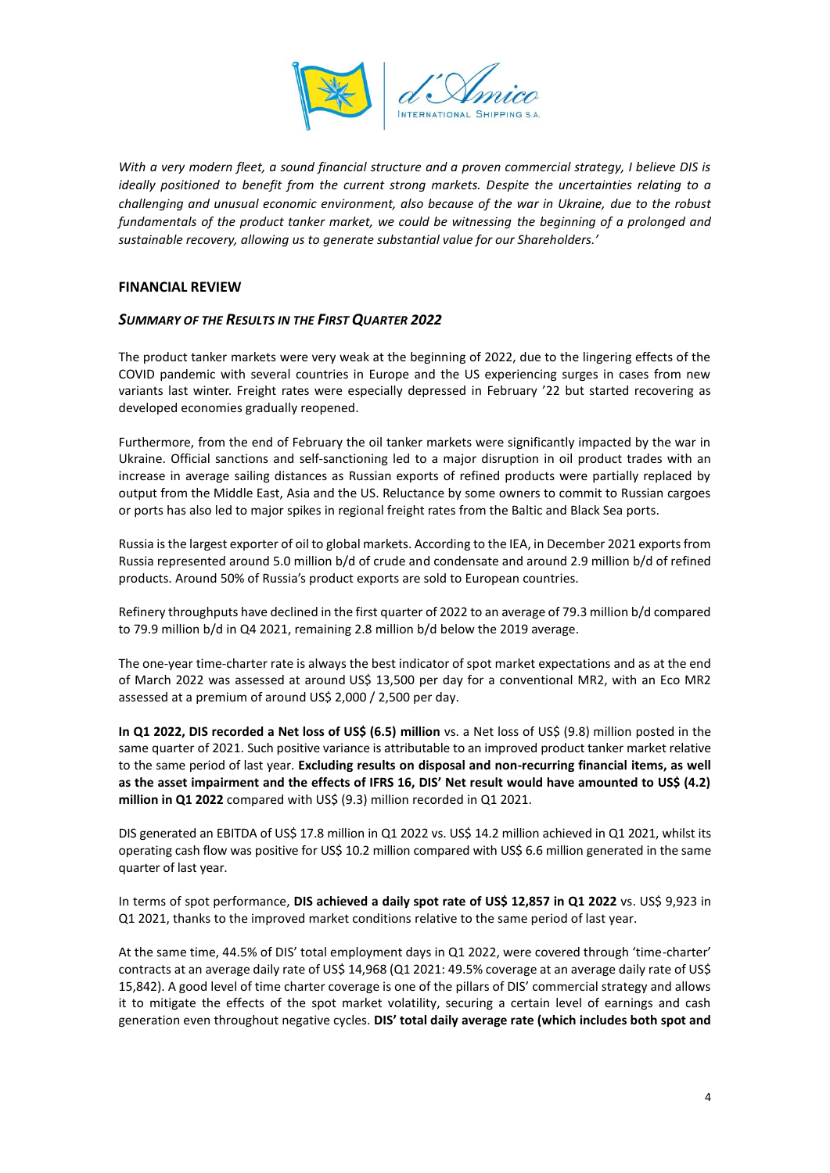

*With a very modern fleet, a sound financial structure and a proven commercial strategy, I believe DIS is ideally positioned to benefit from the current strong markets. Despite the uncertainties relating to a challenging and unusual economic environment, also because of the war in Ukraine, due to the robust fundamentals of the product tanker market, we could be witnessing the beginning of a prolonged and sustainable recovery, allowing us to generate substantial value for our Shareholders.'*

# **FINANCIAL REVIEW**

# *SUMMARY OF THE RESULTS IN THE FIRST QUARTER 2022*

The product tanker markets were very weak at the beginning of 2022, due to the lingering effects of the COVID pandemic with several countries in Europe and the US experiencing surges in cases from new variants last winter. Freight rates were especially depressed in February '22 but started recovering as developed economies gradually reopened.

Furthermore, from the end of February the oil tanker markets were significantly impacted by the war in Ukraine. Official sanctions and self-sanctioning led to a major disruption in oil product trades with an increase in average sailing distances as Russian exports of refined products were partially replaced by output from the Middle East, Asia and the US. Reluctance by some owners to commit to Russian cargoes or ports has also led to major spikes in regional freight rates from the Baltic and Black Sea ports.

Russia is the largest exporter of oil to global markets. According to the IEA, in December 2021 exports from Russia represented around 5.0 million b/d of crude and condensate and around 2.9 million b/d of refined products. Around 50% of Russia's product exports are sold to European countries.

Refinery throughputs have declined in the first quarter of 2022 to an average of 79.3 million b/d compared to 79.9 million b/d in Q4 2021, remaining 2.8 million b/d below the 2019 average.

The one-year time-charter rate is always the best indicator of spot market expectations and as at the end of March 2022 was assessed at around US\$ 13,500 per day for a conventional MR2, with an Eco MR2 assessed at a premium of around US\$ 2,000 / 2,500 per day.

**In Q1 2022, DIS recorded a Net loss of US\$ (6.5) million** vs. a Net loss of US\$ (9.8) million posted in the same quarter of 2021. Such positive variance is attributable to an improved product tanker market relative to the same period of last year. **Excluding results on disposal and non-recurring financial items, as well as the asset impairment and the effects of IFRS 16, DIS' Net result would have amounted to US\$ (4.2) million in Q1 2022** compared with US\$ (9.3) million recorded in Q1 2021.

DIS generated an EBITDA of US\$ 17.8 million in Q1 2022 vs. US\$ 14.2 million achieved in Q1 2021, whilst its operating cash flow was positive for US\$ 10.2 million compared with US\$ 6.6 million generated in the same quarter of last year.

In terms of spot performance, **DIS achieved a daily spot rate of US\$ 12,857 in Q1 2022** vs. US\$ 9,923 in Q1 2021, thanks to the improved market conditions relative to the same period of last year.

At the same time, 44.5% of DIS' total employment days in Q1 2022, were covered through 'time-charter' contracts at an average daily rate of US\$ 14,968 (Q1 2021: 49.5% coverage at an average daily rate of US\$ 15,842). A good level of time charter coverage is one of the pillars of DIS' commercial strategy and allows it to mitigate the effects of the spot market volatility, securing a certain level of earnings and cash generation even throughout negative cycles. **DIS' total daily average rate (which includes both spot and**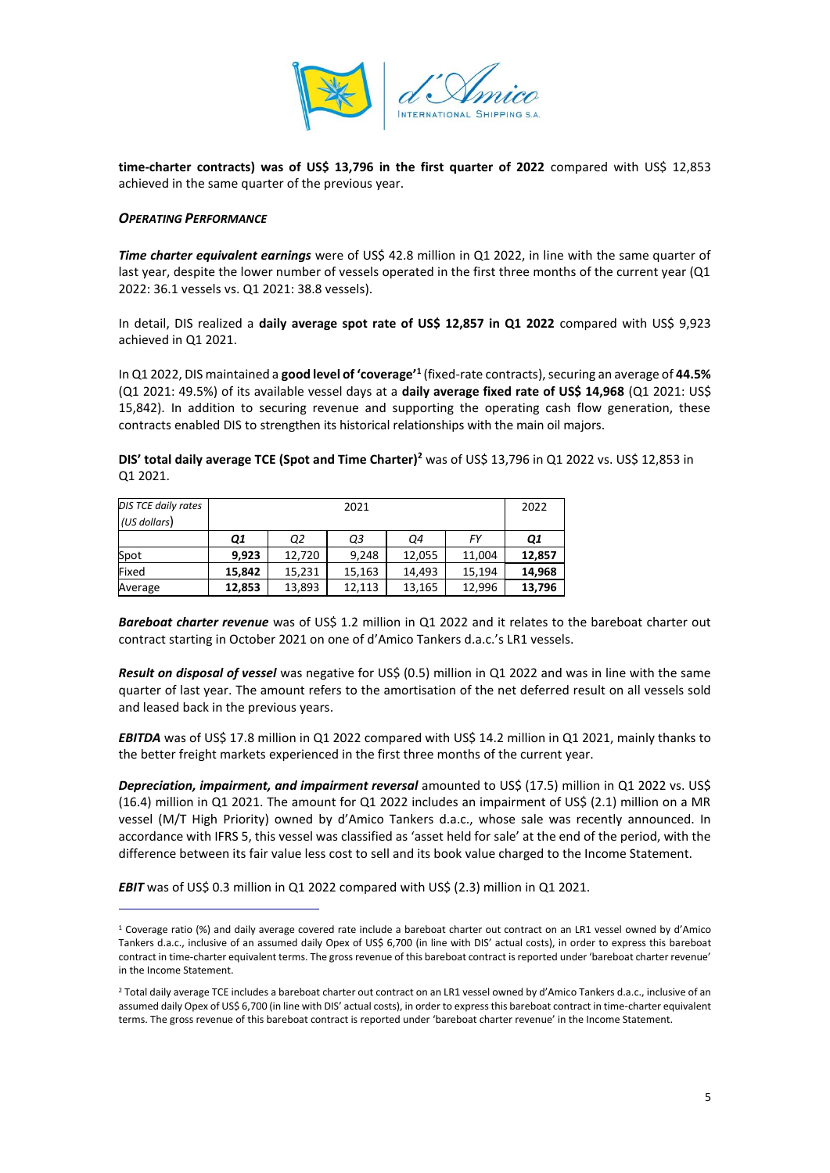

**time-charter contracts) was of US\$ 13,796 in the first quarter of 2022** compared with US\$ 12,853 achieved in the same quarter of the previous year.

#### *OPERATING PERFORMANCE*

*Time charter equivalent earnings* were of US\$ 42.8 million in Q1 2022, in line with the same quarter of last year, despite the lower number of vessels operated in the first three months of the current year (Q1 2022: 36.1 vessels vs. Q1 2021: 38.8 vessels).

In detail, DIS realized a **daily average spot rate of US\$ 12,857 in Q1 2022** compared with US\$ 9,923 achieved in Q1 2021.

In Q1 2022, DIS maintained a **good level of 'coverage'<sup>1</sup>** (fixed-rate contracts), securing an average of **44.5%** (Q1 2021: 49.5%) of its available vessel days at a **daily average fixed rate of US\$ 14,968** (Q1 2021: US\$ 15,842). In addition to securing revenue and supporting the operating cash flow generation, these contracts enabled DIS to strengthen its historical relationships with the main oil majors.

**DIS' total daily average TCE (Spot and Time Charter)<sup>2</sup>** was of US\$ 13,796 in Q1 2022 vs. US\$ 12,853 in Q1 2021.

| DIS TCE daily rates | 2021      |        |        |        |        | 2022   |
|---------------------|-----------|--------|--------|--------|--------|--------|
| (US dollars)        |           |        |        |        |        |        |
|                     | <b>Q1</b> | Ο2     | Q3     | Ο4     | FY     | Q1     |
| Spot                | 9.923     | 12,720 | 9.248  | 12,055 | 11,004 | 12,857 |
| Fixed               | 15.842    | 15,231 | 15,163 | 14.493 | 15.194 | 14,968 |
| Average             | 12,853    | 13,893 | 12.113 | 13,165 | 12,996 | 13,796 |

*Bareboat charter revenue* was of US\$ 1.2 million in Q1 2022 and it relates to the bareboat charter out contract starting in October 2021 on one of d'Amico Tankers d.a.c.'s LR1 vessels.

*Result on disposal of vessel* was negative for US\$ (0.5) million in Q1 2022 and was in line with the same quarter of last year. The amount refers to the amortisation of the net deferred result on all vessels sold and leased back in the previous years.

**EBITDA** was of US\$ 17.8 million in Q1 2022 compared with US\$ 14.2 million in Q1 2021, mainly thanks to the better freight markets experienced in the first three months of the current year.

*Depreciation, impairment, and impairment reversal* amounted to US\$ (17.5) million in Q1 2022 vs. US\$ (16.4) million in Q1 2021. The amount for Q1 2022 includes an impairment of US\$ (2.1) million on a MR vessel (M/T High Priority) owned by d'Amico Tankers d.a.c., whose sale was recently announced. In accordance with IFRS 5, this vessel was classified as 'asset held for sale' at the end of the period, with the difference between its fair value less cost to sell and its book value charged to the Income Statement.

*EBIT* was of US\$ 0.3 million in Q1 2022 compared with US\$ (2.3) million in Q1 2021.

<sup>1</sup> Coverage ratio (%) and daily average covered rate include a bareboat charter out contract on an LR1 vessel owned by d'Amico Tankers d.a.c., inclusive of an assumed daily Opex of US\$ 6,700 (in line with DIS' actual costs), in order to express this bareboat contract in time-charter equivalent terms. The gross revenue of this bareboat contract is reported under 'bareboat charter revenue' in the Income Statement.

<sup>&</sup>lt;sup>2</sup> Total daily average TCE includes a bareboat charter out contract on an LR1 vessel owned by d'Amico Tankers d.a.c., inclusive of an assumed daily Opex of US\$ 6,700 (in line with DIS' actual costs), in order to express this bareboat contract in time-charter equivalent terms. The gross revenue of this bareboat contract is reported under 'bareboat charter revenue' in the Income Statement.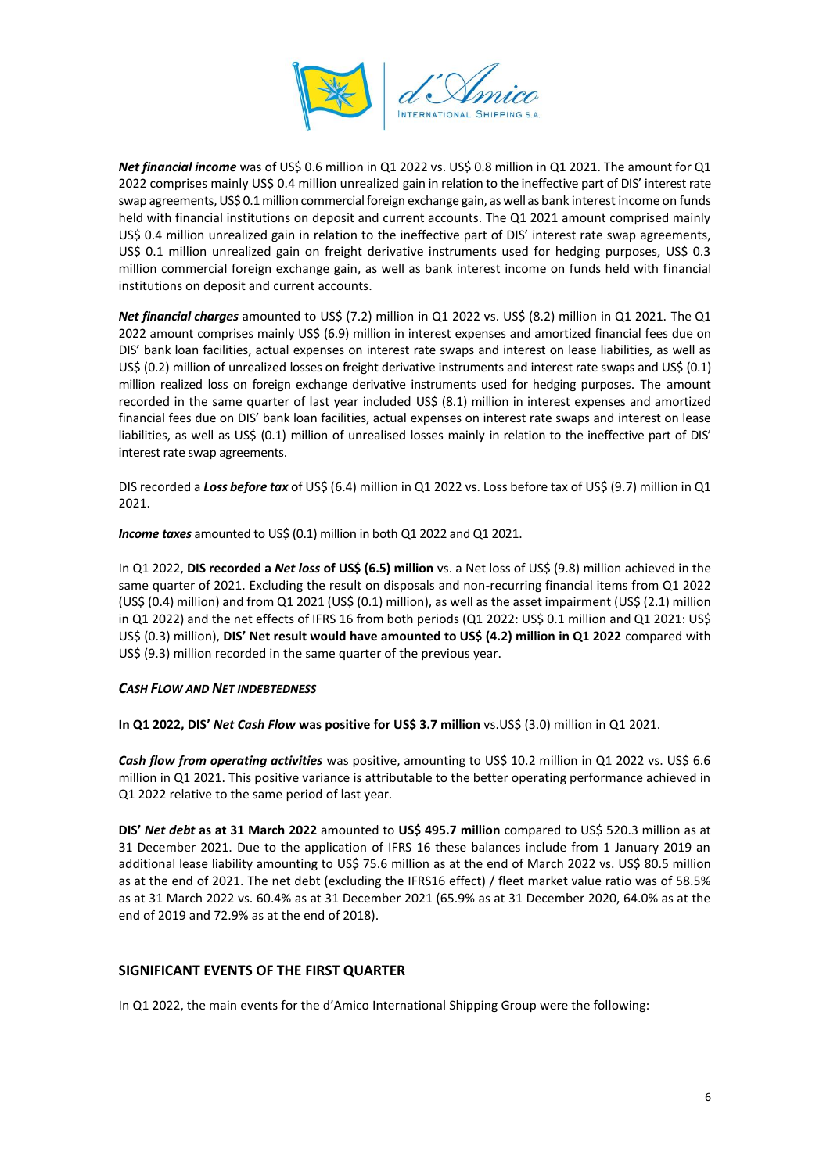

*Net financial income* was of US\$ 0.6 million in Q1 2022 vs. US\$ 0.8 million in Q1 2021. The amount for Q1 2022 comprises mainly US\$ 0.4 million unrealized gain in relation to the ineffective part of DIS' interest rate swap agreements, US\$ 0.1 million commercial foreign exchange gain, as well as bank interest income on funds held with financial institutions on deposit and current accounts. The Q1 2021 amount comprised mainly US\$ 0.4 million unrealized gain in relation to the ineffective part of DIS' interest rate swap agreements, US\$ 0.1 million unrealized gain on freight derivative instruments used for hedging purposes, US\$ 0.3 million commercial foreign exchange gain, as well as bank interest income on funds held with financial institutions on deposit and current accounts.

*Net financial charges* amounted to US\$ (7.2) million in Q1 2022 vs. US\$ (8.2) million in Q1 2021. The Q1 2022 amount comprises mainly US\$ (6.9) million in interest expenses and amortized financial fees due on DIS' bank loan facilities, actual expenses on interest rate swaps and interest on lease liabilities, as well as US\$ (0.2) million of unrealized losses on freight derivative instruments and interest rate swaps and US\$ (0.1) million realized loss on foreign exchange derivative instruments used for hedging purposes. The amount recorded in the same quarter of last year included US\$ (8.1) million in interest expenses and amortized financial fees due on DIS' bank loan facilities, actual expenses on interest rate swaps and interest on lease liabilities, as well as US\$ (0.1) million of unrealised losses mainly in relation to the ineffective part of DIS' interest rate swap agreements.

DIS recorded a *Loss before tax* of US\$ (6.4) million in Q1 2022 vs. Loss before tax of US\$ (9.7) million in Q1 2021.

*Income taxes* amounted to US\$ (0.1) million in both Q1 2022 and Q1 2021.

In Q1 2022, **DIS recorded a** *Net loss* **of US\$ (6.5) million** vs. a Net loss of US\$ (9.8) million achieved in the same quarter of 2021. Excluding the result on disposals and non-recurring financial items from Q1 2022 (US\$ (0.4) million) and from Q1 2021 (US\$ (0.1) million), as well as the asset impairment (US\$ (2.1) million in Q1 2022) and the net effects of IFRS 16 from both periods (Q1 2022: US\$ 0.1 million and Q1 2021: US\$ US\$ (0.3) million), **DIS' Net result would have amounted to US\$ (4.2) million in Q1 2022** compared with US\$ (9.3) million recorded in the same quarter of the previous year.

# *CASH FLOW AND NET INDEBTEDNESS*

**In Q1 2022, DIS'** *Net Cash Flow* **was positive for US\$ 3.7 million** vs.US\$ (3.0) million in Q1 2021.

*Cash flow from operating activities* was positive, amounting to US\$ 10.2 million in Q1 2022 vs. US\$ 6.6 million in Q1 2021. This positive variance is attributable to the better operating performance achieved in Q1 2022 relative to the same period of last year.

**DIS'** *Net debt* **as at 31 March 2022** amounted to **US\$ 495.7 million** compared to US\$ 520.3 million as at 31 December 2021. Due to the application of IFRS 16 these balances include from 1 January 2019 an additional lease liability amounting to US\$ 75.6 million as at the end of March 2022 vs. US\$ 80.5 million as at the end of 2021. The net debt (excluding the IFRS16 effect) / fleet market value ratio was of 58.5% as at 31 March 2022 vs. 60.4% as at 31 December 2021 (65.9% as at 31 December 2020, 64.0% as at the end of 2019 and 72.9% as at the end of 2018).

# **SIGNIFICANT EVENTS OF THE FIRST QUARTER**

In Q1 2022, the main events for the d'Amico International Shipping Group were the following: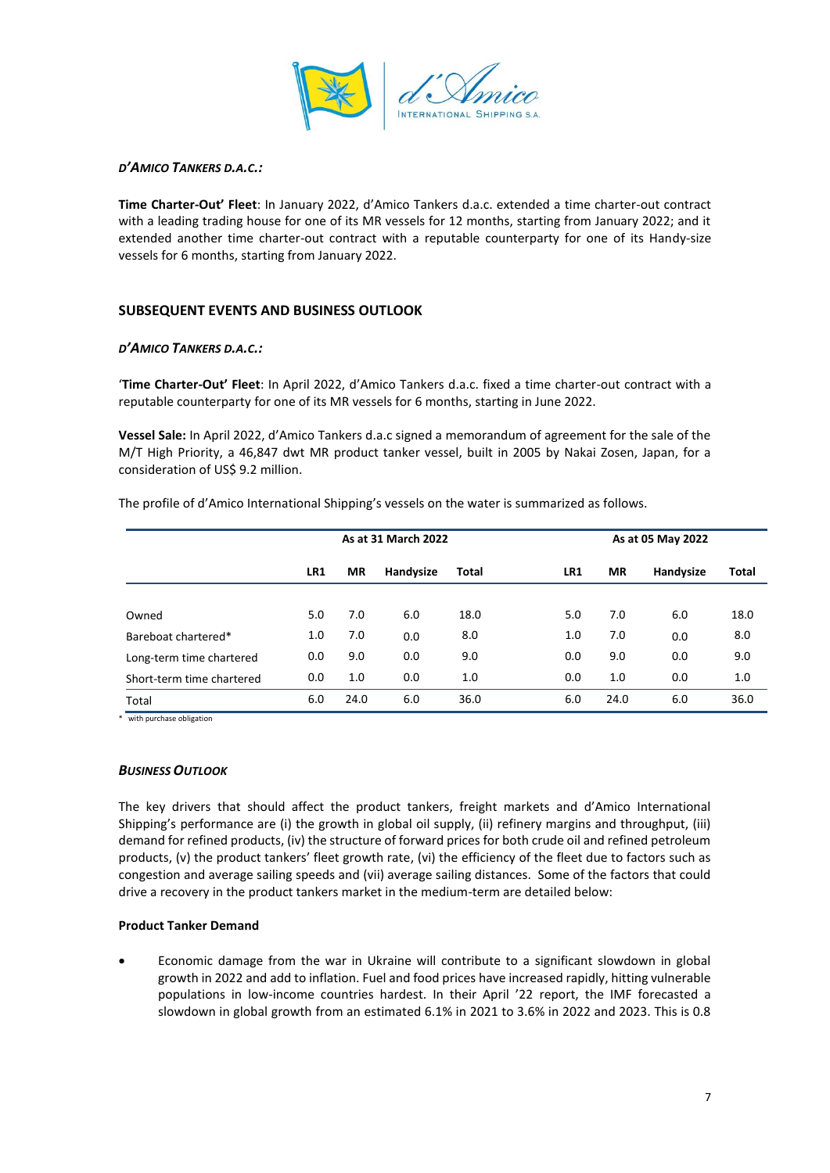

# *D'AMICO TANKERS D.A.C.:*

**Time Charter-Out' Fleet**: In January 2022, d'Amico Tankers d.a.c. extended a time charter-out contract with a leading trading house for one of its MR vessels for 12 months, starting from January 2022; and it extended another time charter-out contract with a reputable counterparty for one of its Handy-size vessels for 6 months, starting from January 2022.

# **SUBSEQUENT EVENTS AND BUSINESS OUTLOOK**

# *D'AMICO TANKERS D.A.C.:*

'**Time Charter-Out' Fleet**: In April 2022, d'Amico Tankers d.a.c. fixed a time charter-out contract with a reputable counterparty for one of its MR vessels for 6 months, starting in June 2022.

**Vessel Sale:** In April 2022, d'Amico Tankers d.a.c signed a memorandum of agreement for the sale of the M/T High Priority, a 46,847 dwt MR product tanker vessel, built in 2005 by Nakai Zosen, Japan, for a consideration of US\$ 9.2 million.

The profile of d'Amico International Shipping's vessels on the water is summarized as follows.

|                           | As at 31 March 2022 |           |           |              | As at 05 May 2022 |           |           |       |
|---------------------------|---------------------|-----------|-----------|--------------|-------------------|-----------|-----------|-------|
|                           | LR1                 | <b>MR</b> | Handysize | <b>Total</b> | LR1               | <b>MR</b> | Handysize | Total |
|                           |                     |           |           |              |                   |           |           |       |
| Owned                     | 5.0                 | 7.0       | 6.0       | 18.0         | 5.0               | 7.0       | 6.0       | 18.0  |
| Bareboat chartered*       | 1.0                 | 7.0       | 0.0       | 8.0          | 1.0               | 7.0       | 0.0       | 8.0   |
| Long-term time chartered  | 0.0                 | 9.0       | 0.0       | 9.0          | 0.0               | 9.0       | 0.0       | 9.0   |
| Short-term time chartered | 0.0                 | 1.0       | 0.0       | 1.0          | 0.0               | 1.0       | 0.0       | 1.0   |
| Total                     | 6.0                 | 24.0      | 6.0       | 36.0         | 6.0               | 24.0      | 6.0       | 36.0  |

\* with purchase obligation

# *BUSINESS OUTLOOK*

The key drivers that should affect the product tankers, freight markets and d'Amico International Shipping's performance are (i) the growth in global oil supply, (ii) refinery margins and throughput, (iii) demand for refined products, (iv) the structure of forward prices for both crude oil and refined petroleum products, (v) the product tankers' fleet growth rate, (vi) the efficiency of the fleet due to factors such as congestion and average sailing speeds and (vii) average sailing distances. Some of the factors that could drive a recovery in the product tankers market in the medium-term are detailed below:

# **Product Tanker Demand**

• Economic damage from the war in Ukraine will contribute to a significant slowdown in global growth in 2022 and add to inflation. Fuel and food prices have increased rapidly, hitting vulnerable populations in low-income countries hardest. In their April '22 report, the IMF forecasted a slowdown in global growth from an estimated 6.1% in 2021 to 3.6% in 2022 and 2023. This is 0.8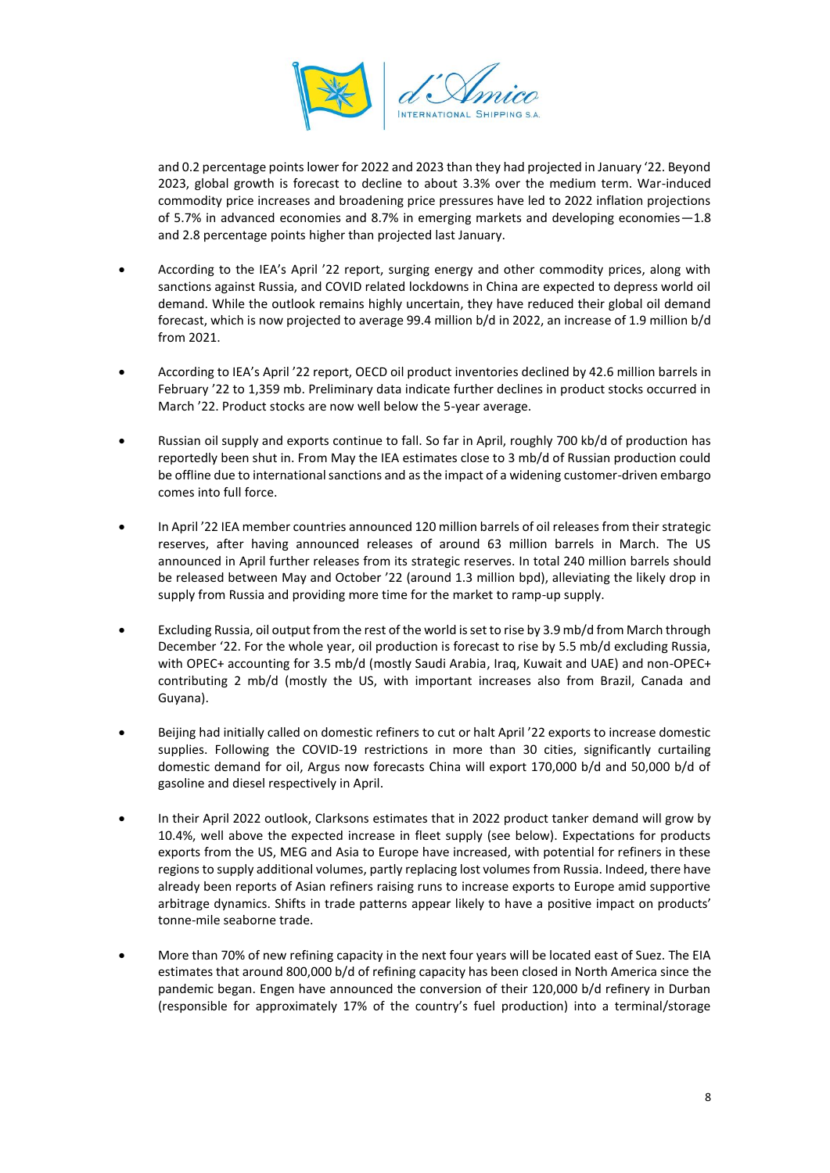

and 0.2 percentage points lower for 2022 and 2023 than they had projected in January '22. Beyond 2023, global growth is forecast to decline to about 3.3% over the medium term. War-induced commodity price increases and broadening price pressures have led to 2022 inflation projections of 5.7% in advanced economies and 8.7% in emerging markets and developing economies—1.8 and 2.8 percentage points higher than projected last January.

- According to the IEA's April '22 report, surging energy and other commodity prices, along with sanctions against Russia, and COVID related lockdowns in China are expected to depress world oil demand. While the outlook remains highly uncertain, they have reduced their global oil demand forecast, which is now projected to average 99.4 million b/d in 2022, an increase of 1.9 million b/d from 2021.
- According to IEA's April '22 report, OECD oil product inventories declined by 42.6 million barrels in February '22 to 1,359 mb. Preliminary data indicate further declines in product stocks occurred in March '22. Product stocks are now well below the 5-year average.
- Russian oil supply and exports continue to fall. So far in April, roughly 700 kb/d of production has reportedly been shut in. From May the IEA estimates close to 3 mb/d of Russian production could be offline due to international sanctions and as the impact of a widening customer-driven embargo comes into full force.
- In April '22 IEA member countries announced 120 million barrels of oil releases from their strategic reserves, after having announced releases of around 63 million barrels in March. The US announced in April further releases from its strategic reserves. In total 240 million barrels should be released between May and October '22 (around 1.3 million bpd), alleviating the likely drop in supply from Russia and providing more time for the market to ramp-up supply.
- Excluding Russia, oil output from the rest of the world is set to rise by 3.9 mb/d from March through December '22. For the whole year, oil production is forecast to rise by 5.5 mb/d excluding Russia, with OPEC+ accounting for 3.5 mb/d (mostly Saudi Arabia, Iraq, Kuwait and UAE) and non-OPEC+ contributing 2 mb/d (mostly the US, with important increases also from Brazil, Canada and Guyana).
- Beijing had initially called on domestic refiners to cut or halt April '22 exports to increase domestic supplies. Following the COVID-19 restrictions in more than 30 cities, significantly curtailing domestic demand for oil, Argus now forecasts China will export 170,000 b/d and 50,000 b/d of gasoline and diesel respectively in April.
- In their April 2022 outlook, Clarksons estimates that in 2022 product tanker demand will grow by 10.4%, well above the expected increase in fleet supply (see below). Expectations for products exports from the US, MEG and Asia to Europe have increased, with potential for refiners in these regions to supply additional volumes, partly replacing lost volumes from Russia. Indeed, there have already been reports of Asian refiners raising runs to increase exports to Europe amid supportive arbitrage dynamics. Shifts in trade patterns appear likely to have a positive impact on products' tonne-mile seaborne trade.
- More than 70% of new refining capacity in the next four years will be located east of Suez. The EIA estimates that around 800,000 b/d of refining capacity has been closed in North America since the pandemic began. Engen have announced the conversion of their 120,000 b/d refinery in Durban (responsible for approximately 17% of the country's fuel production) into a terminal/storage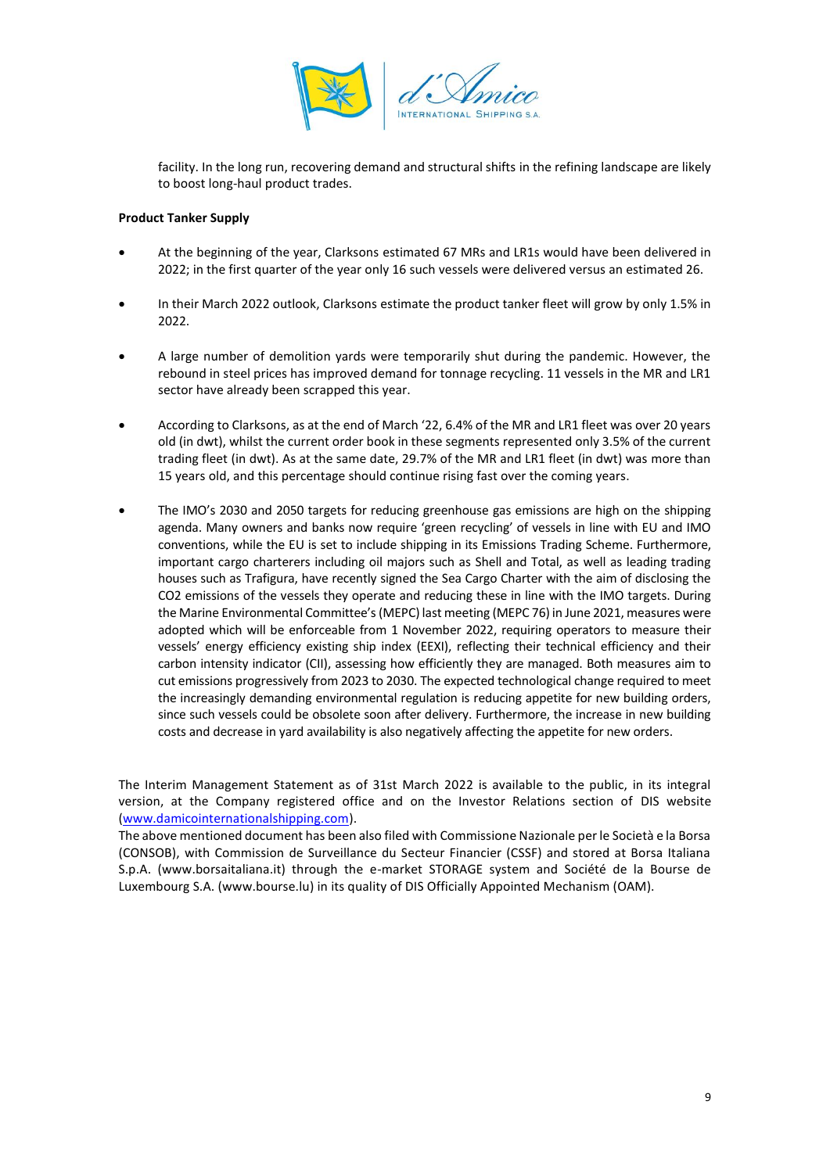

facility. In the long run, recovering demand and structural shifts in the refining landscape are likely to boost long-haul product trades.

### **Product Tanker Supply**

- At the beginning of the year, Clarksons estimated 67 MRs and LR1s would have been delivered in 2022; in the first quarter of the year only 16 such vessels were delivered versus an estimated 26.
- In their March 2022 outlook, Clarksons estimate the product tanker fleet will grow by only 1.5% in 2022.
- A large number of demolition yards were temporarily shut during the pandemic. However, the rebound in steel prices has improved demand for tonnage recycling. 11 vessels in the MR and LR1 sector have already been scrapped this year.
- According to Clarksons, as at the end of March '22, 6.4% of the MR and LR1 fleet was over 20 years old (in dwt), whilst the current order book in these segments represented only 3.5% of the current trading fleet (in dwt). As at the same date, 29.7% of the MR and LR1 fleet (in dwt) was more than 15 years old, and this percentage should continue rising fast over the coming years.
- The IMO's 2030 and 2050 targets for reducing greenhouse gas emissions are high on the shipping agenda. Many owners and banks now require 'green recycling' of vessels in line with EU and IMO conventions, while the EU is set to include shipping in its Emissions Trading Scheme. Furthermore, important cargo charterers including oil majors such as Shell and Total, as well as leading trading houses such as Trafigura, have recently signed the Sea Cargo Charter with the aim of disclosing the CO2 emissions of the vessels they operate and reducing these in line with the IMO targets. During the Marine Environmental Committee's (MEPC) last meeting (MEPC 76) in June 2021, measures were adopted which will be enforceable from 1 November 2022, requiring operators to measure their vessels' energy efficiency existing ship index (EEXI), reflecting their technical efficiency and their carbon intensity indicator (CII), assessing how efficiently they are managed. Both measures aim to cut emissions progressively from 2023 to 2030. The expected technological change required to meet the increasingly demanding environmental regulation is reducing appetite for new building orders, since such vessels could be obsolete soon after delivery. Furthermore, the increase in new building costs and decrease in yard availability is also negatively affecting the appetite for new orders.

The Interim Management Statement as of 31st March 2022 is available to the public, in its integral version, at the Company registered office and on the Investor Relations section of DIS website [\(www.damicointernationalshipping.com\)](http://www.damicointernationalshipping.com/).

The above mentioned document has been also filed with Commissione Nazionale per le Società e la Borsa (CONSOB), with Commission de Surveillance du Secteur Financier (CSSF) and stored at Borsa Italiana S.p.A. (www.borsaitaliana.it) through the e-market STORAGE system and Société de la Bourse de Luxembourg S.A. (www.bourse.lu) in its quality of DIS Officially Appointed Mechanism (OAM).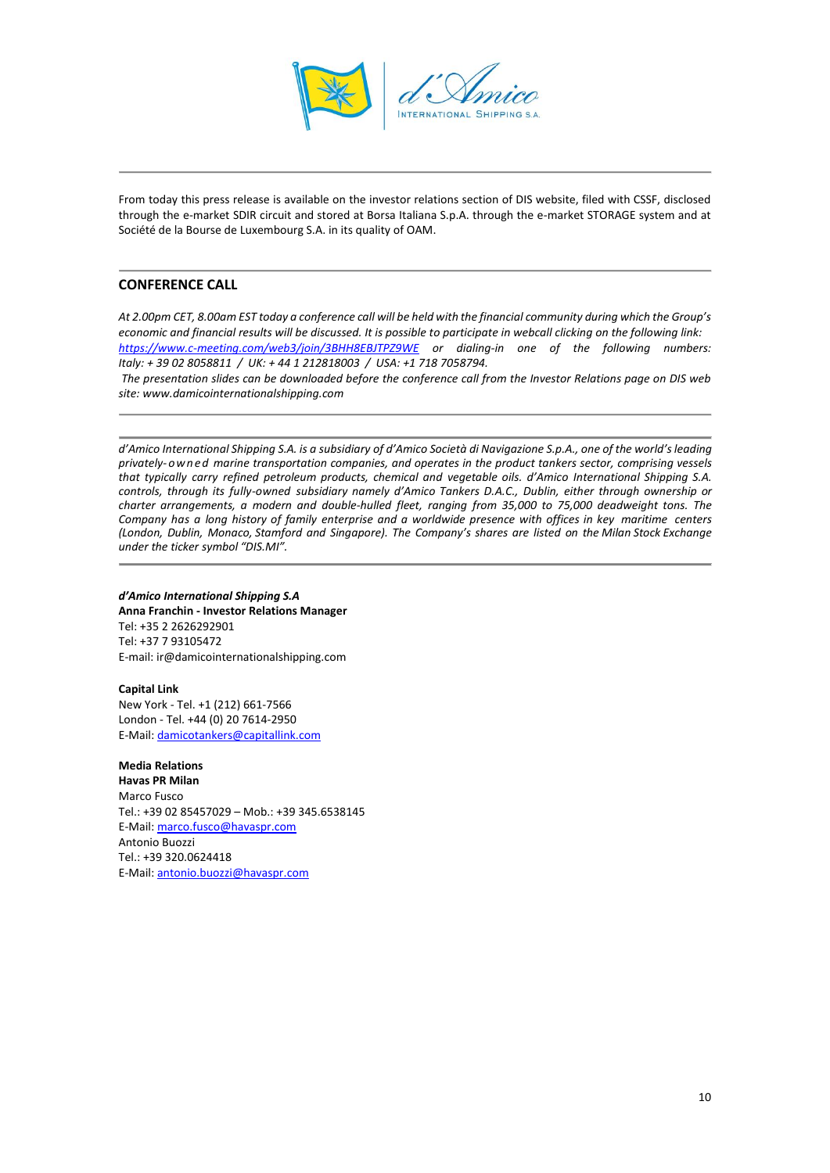

From today this press release is available on the investor relations section of DIS website, filed with CSSF, disclosed through the e-market SDIR circuit and stored at Borsa Italiana S.p.A. through the e-market STORAGE system and at Société de la Bourse de Luxembourg S.A. in its quality of OAM.

# **CONFERENCE CALL**

*At 2.00pm CET, 8.00am EST today a conference call will be held with the financial community during which the Group's economic and financial results will be discussed. It is possible to participate in webcall clicking on the following link: <https://www.c-meeting.com/web3/join/3BHH8EBJTPZ9WE> or dialing-in one of the following numbers: Italy: + 39 02 8058811 / UK: + 44 1 212818003 / USA: +1 718 7058794.*

*The presentation slides can be downloaded before the conference call from the Investor Relations page on DIS web site: www.damicointernationalshipping.com*

d'Amico International Shipping S.A. is a subsidiary of d'Amico Società di Navigazione S.p.A., one of the world's leading *privately-o wn ed marine transportation companies, and operates in the product tankers sector, comprising vessels that typically carry refined petroleum products, chemical and vegetable oils. d'Amico International Shipping S.A. controls, through its fully-owned subsidiary namely d'Amico Tankers D.A.C., Dublin, either through ownership or charter arrangements, a modern and double-hulled fleet, ranging from 35,000 to 75,000 deadweight tons. The Company has a long history of family enterprise and a worldwide presence with offices in key maritime centers (London, Dublin, Monaco, Stamford and Singapore). The Company's shares are listed on the Milan Stock Exchange under the ticker symbol "DIS.MI".*

#### *d'Amico International Shipping S.A* **Anna Franchin - Investor Relations Manager** Tel: +35 2 2626292901 Tel: +37 7 93105472 E-mail: ir@damicointernationalshipping.com

**Capital Link** New York - Tel. +1 (212) 661-7566 London - Tel. +44 (0) 20 7614-2950 E-Mail: [damicotankers@capitallink.com](mailto:damicotankers@capitallink.com)

**Media Relations Havas PR Milan** Marco Fusco Tel.: +39 02 85457029 – Mob.: +39 345.6538145 E-Mail: [marco.fusco@havaspr.com](mailto:marco.fusco@havaspr.com) Antonio Buozzi Tel.: +39 320.0624418 E-Mail: [antonio.buozzi@havaspr.com](mailto:antonio.buozzi@havaspr.com)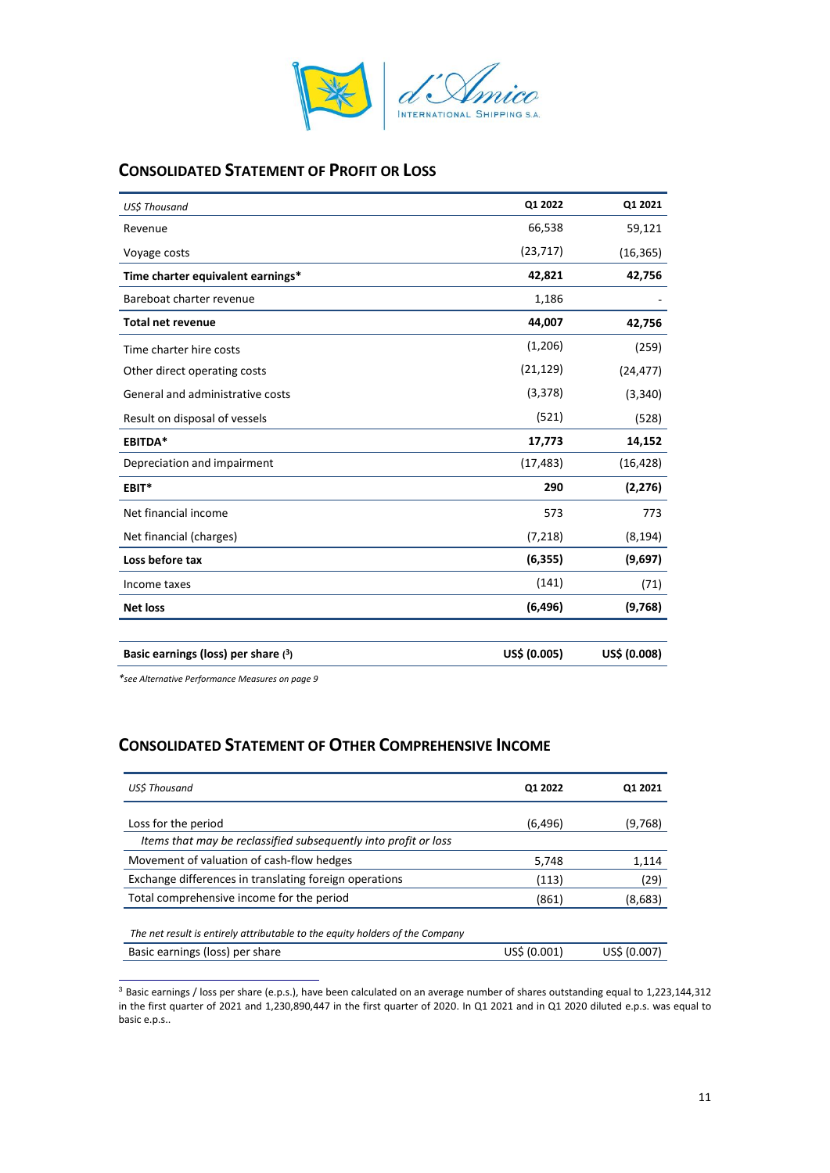

# **CONSOLIDATED STATEMENT OF PROFIT OR LOSS**

| US\$ Thousand                         | Q1 2022      | Q1 2021      |
|---------------------------------------|--------------|--------------|
| Revenue                               | 66,538       | 59,121       |
| Voyage costs                          | (23, 717)    | (16, 365)    |
| Time charter equivalent earnings*     | 42,821       | 42,756       |
| Bareboat charter revenue              | 1,186        |              |
| <b>Total net revenue</b>              | 44,007       | 42,756       |
| Time charter hire costs               | (1,206)      | (259)        |
| Other direct operating costs          | (21, 129)    | (24, 477)    |
| General and administrative costs      | (3, 378)     | (3, 340)     |
| Result on disposal of vessels         | (521)        | (528)        |
| <b>EBITDA*</b>                        | 17,773       | 14,152       |
| Depreciation and impairment           | (17, 483)    | (16, 428)    |
| EBIT*                                 | 290          | (2, 276)     |
| Net financial income                  | 573          | 773          |
| Net financial (charges)               | (7, 218)     | (8, 194)     |
| Loss before tax                       | (6, 355)     | (9,697)      |
| Income taxes                          | (141)        | (71)         |
| <b>Net loss</b>                       | (6, 496)     | (9,768)      |
|                                       |              |              |
| Basic earnings (loss) per share $(3)$ | US\$ (0.005) | US\$ (0.008) |

*\*see Alternative Performance Measures on page 9*

# **CONSOLIDATED STATEMENT OF OTHER COMPREHENSIVE INCOME**

| <b>USS Thousand</b>                                                          | Q1 2022      | Q1 2021      |
|------------------------------------------------------------------------------|--------------|--------------|
|                                                                              |              |              |
| Loss for the period                                                          | (6, 496)     | (9,768)      |
| Items that may be reclassified subsequently into profit or loss              |              |              |
| Movement of valuation of cash-flow hedges                                    | 5,748        | 1,114        |
| Exchange differences in translating foreign operations                       | (113)        | (29)         |
| Total comprehensive income for the period                                    | (861)        | (8,683)      |
|                                                                              |              |              |
| The net result is entirely attributable to the equity holders of the Company |              |              |
| Basic earnings (loss) per share                                              | US\$ (0.001) | US\$ (0.007) |

<sup>3</sup> Basic earnings / loss per share (e.p.s.), have been calculated on an average number of shares outstanding equal to 1,223,144,312 in the first quarter of 2021 and 1,230,890,447 in the first quarter of 2020. In Q1 2021 and in Q1 2020 diluted e.p.s. was equal to basic e.p.s..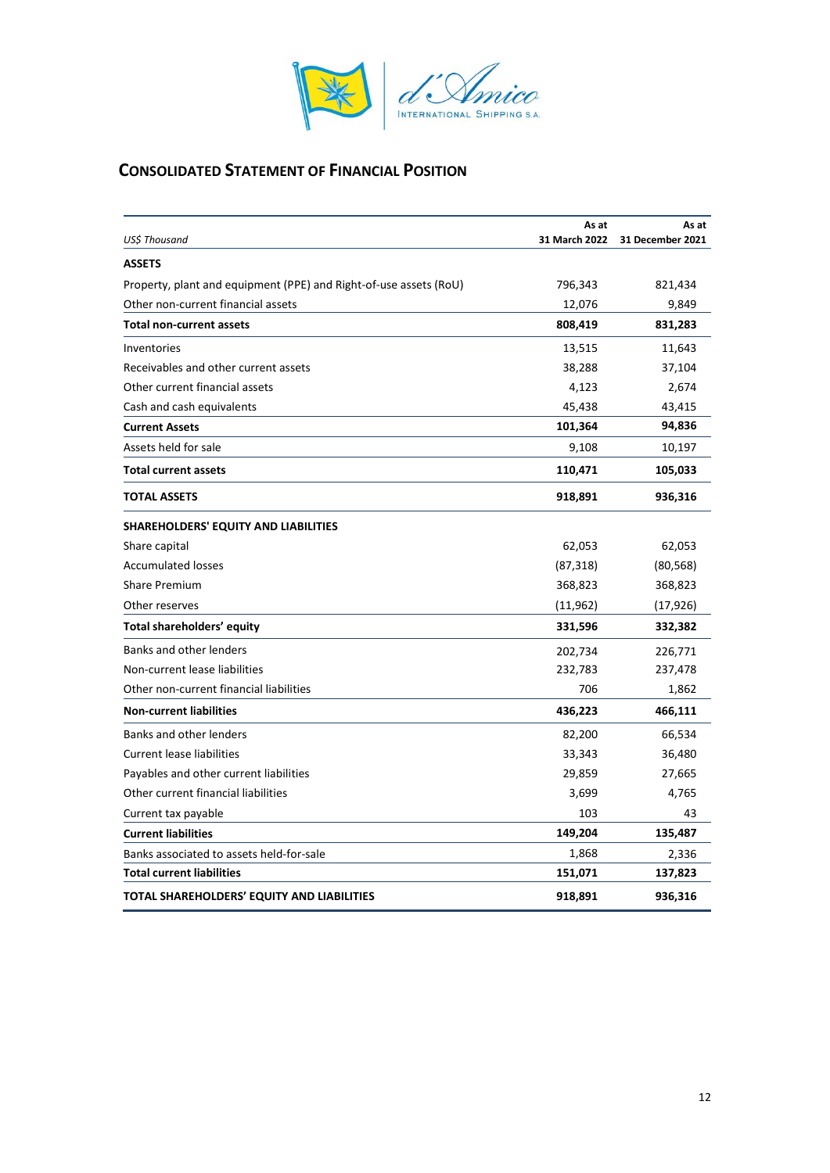

# **CONSOLIDATED STATEMENT OF FINANCIAL POSITION**

|                                                                   | As at         | As at            |  |
|-------------------------------------------------------------------|---------------|------------------|--|
| US\$ Thousand                                                     | 31 March 2022 | 31 December 2021 |  |
| <b>ASSETS</b>                                                     |               |                  |  |
| Property, plant and equipment (PPE) and Right-of-use assets (RoU) | 796,343       | 821,434          |  |
| Other non-current financial assets                                | 12,076        | 9,849            |  |
| <b>Total non-current assets</b>                                   | 808,419       | 831,283          |  |
| Inventories                                                       | 13,515        | 11,643           |  |
| Receivables and other current assets                              | 38,288        | 37,104           |  |
| Other current financial assets                                    | 4,123         | 2,674            |  |
| Cash and cash equivalents                                         | 45,438        | 43,415           |  |
| <b>Current Assets</b>                                             | 101,364       | 94,836           |  |
| Assets held for sale                                              | 9,108         | 10,197           |  |
| <b>Total current assets</b>                                       | 110,471       | 105,033          |  |
| <b>TOTAL ASSETS</b>                                               | 918,891       | 936,316          |  |
| SHAREHOLDERS' EQUITY AND LIABILITIES                              |               |                  |  |
| Share capital                                                     | 62,053        | 62,053           |  |
| <b>Accumulated losses</b>                                         | (87, 318)     | (80, 568)        |  |
| <b>Share Premium</b>                                              | 368,823       | 368,823          |  |
| Other reserves                                                    | (11,962)      | (17, 926)        |  |
| Total shareholders' equity                                        | 331,596       | 332,382          |  |
| Banks and other lenders                                           | 202,734       | 226,771          |  |
| Non-current lease liabilities                                     | 232,783       | 237,478          |  |
| Other non-current financial liabilities                           | 706           | 1,862            |  |
| <b>Non-current liabilities</b>                                    | 436,223       | 466,111          |  |
| Banks and other lenders                                           | 82,200        | 66,534           |  |
| <b>Current lease liabilities</b>                                  | 33,343        | 36,480           |  |
| Payables and other current liabilities                            | 29,859        | 27,665           |  |
| Other current financial liabilities                               | 3,699         | 4,765            |  |
| Current tax payable                                               | 103           | 43               |  |
| <b>Current liabilities</b>                                        | 149,204       | 135,487          |  |
| Banks associated to assets held-for-sale                          | 1,868         | 2,336            |  |
| <b>Total current liabilities</b>                                  | 151,071       | 137,823          |  |
| TOTAL SHAREHOLDERS' EQUITY AND LIABILITIES                        | 918,891       | 936,316          |  |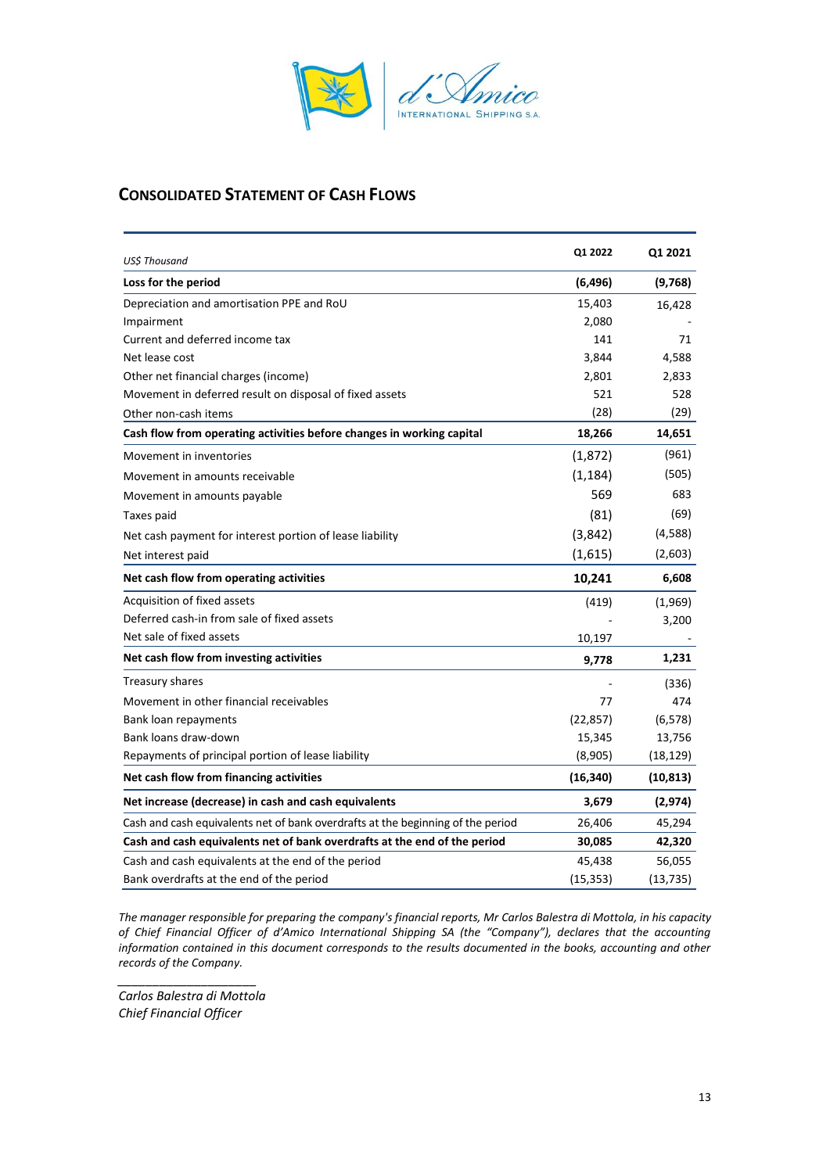

# **CONSOLIDATED STATEMENT OF CASH FLOWS**

| US\$ Thousand                                                                   | Q1 2022   | Q1 2021   |
|---------------------------------------------------------------------------------|-----------|-----------|
| Loss for the period                                                             | (6, 496)  | (9,768)   |
| Depreciation and amortisation PPE and RoU                                       | 15,403    | 16,428    |
| Impairment                                                                      | 2,080     |           |
| Current and deferred income tax                                                 | 141       | 71        |
| Net lease cost                                                                  | 3,844     | 4,588     |
| Other net financial charges (income)                                            | 2,801     | 2,833     |
| Movement in deferred result on disposal of fixed assets                         | 521       | 528       |
| Other non-cash items                                                            | (28)      | (29)      |
| Cash flow from operating activities before changes in working capital           | 18,266    | 14,651    |
| Movement in inventories                                                         | (1,872)   | (961)     |
| Movement in amounts receivable                                                  | (1, 184)  | (505)     |
| Movement in amounts payable                                                     | 569       | 683       |
| Taxes paid                                                                      | (81)      | (69)      |
| Net cash payment for interest portion of lease liability                        | (3,842)   | (4,588)   |
| Net interest paid                                                               | (1,615)   | (2,603)   |
| Net cash flow from operating activities                                         | 10,241    | 6,608     |
| Acquisition of fixed assets                                                     | (419)     | (1,969)   |
| Deferred cash-in from sale of fixed assets                                      |           | 3,200     |
| Net sale of fixed assets                                                        | 10,197    |           |
| Net cash flow from investing activities                                         | 9,778     | 1,231     |
| Treasury shares                                                                 |           | (336)     |
| Movement in other financial receivables                                         | 77        | 474       |
| Bank loan repayments                                                            | (22, 857) | (6, 578)  |
| Bank loans draw-down                                                            | 15,345    | 13,756    |
| Repayments of principal portion of lease liability                              | (8,905)   | (18, 129) |
| Net cash flow from financing activities                                         | (16, 340) | (10, 813) |
| Net increase (decrease) in cash and cash equivalents                            | 3,679     | (2, 974)  |
| Cash and cash equivalents net of bank overdrafts at the beginning of the period | 26,406    | 45,294    |
| Cash and cash equivalents net of bank overdrafts at the end of the period       | 30,085    | 42,320    |
| Cash and cash equivalents at the end of the period                              | 45,438    | 56,055    |
| Bank overdrafts at the end of the period                                        | (15, 353) | (13, 735) |

*The manager responsible for preparing the company's financial reports, Mr Carlos Balestra di Mottola, in his capacity of Chief Financial Officer of d'Amico International Shipping SA (the "Company"), declares that the accounting information contained in this document corresponds to the results documented in the books, accounting and other records of the Company.*

*\_\_\_\_\_\_\_\_\_\_\_\_\_\_\_\_\_\_\_\_ Carlos Balestra di Mottola Chief Financial Officer*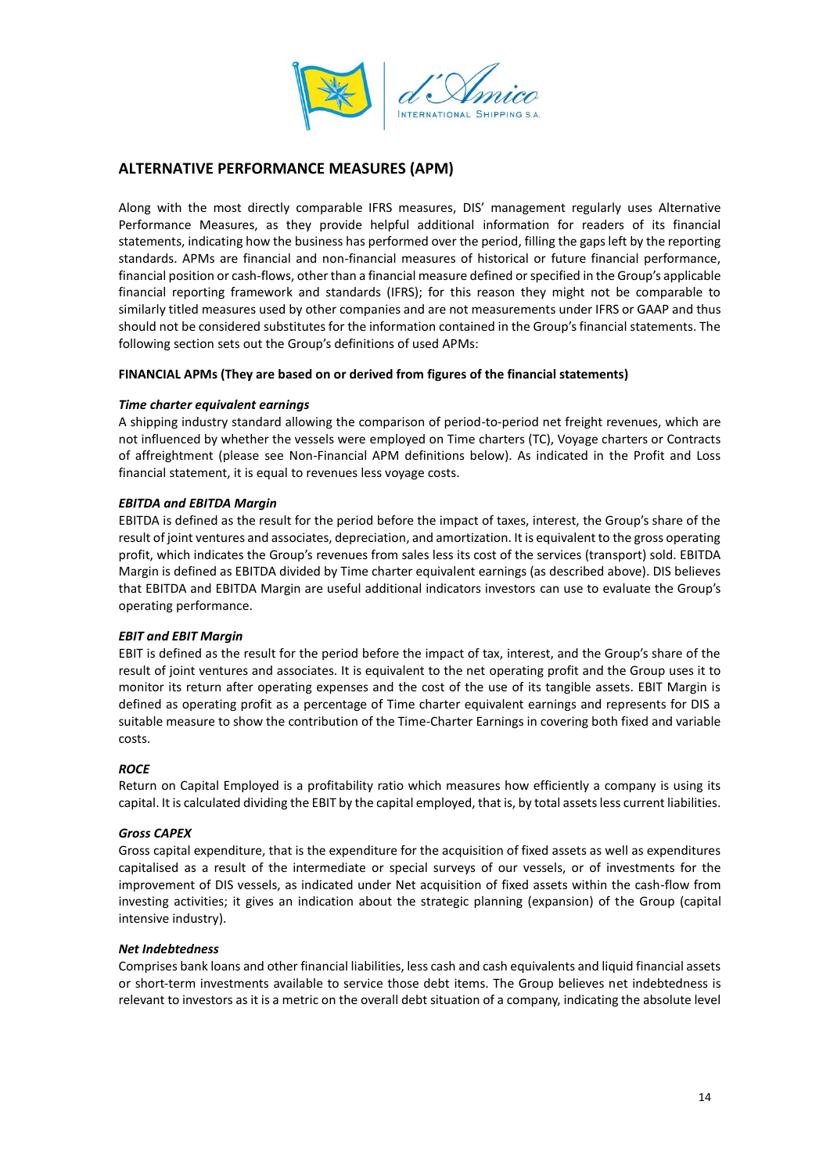

# **ALTERNATIVE PERFORMANCE MEASURES (APM)**

Along with the most directly comparable IFRS measures, DIS' management regularly uses Alternative Performance Measures, as they provide helpful additional information for readers of its financial statements, indicating how the business has performed over the period, filling the gaps left by the reporting standards. APMs are financial and non-financial measures of historical or future financial performance, financial position or cash-flows, other than a financial measure defined or specified in the Group's applicable financial reporting framework and standards (IFRS); for this reason they might not be comparable to similarly titled measures used by other companies and are not measurements under IFRS or GAAP and thus should not be considered substitutes for the information contained in the Group's financial statements. The following section sets out the Group's definitions of used APMs:

### **FINANCIAL APMs (They are based on or derived from figures of the financial statements)**

### *Time charter equivalent earnings*

A shipping industry standard allowing the comparison of period-to-period net freight revenues, which are not influenced by whether the vessels were employed on Time charters (TC), Voyage charters or Contracts of affreightment (please see Non-Financial APM definitions below). As indicated in the Profit and Loss financial statement, it is equal to revenues less voyage costs.

### *EBITDA and EBITDA Margin*

EBITDA is defined as the result for the period before the impact of taxes, interest, the Group's share of the result of joint ventures and associates, depreciation, and amortization. It is equivalent to the gross operating profit, which indicates the Group's revenues from sales less its cost of the services (transport) sold. EBITDA Margin is defined as EBITDA divided by Time charter equivalent earnings (as described above). DIS believes that EBITDA and EBITDA Margin are useful additional indicators investors can use to evaluate the Group's operating performance.

# *EBIT and EBIT Margin*

EBIT is defined as the result for the period before the impact of tax, interest, and the Group's share of the result of joint ventures and associates. It is equivalent to the net operating profit and the Group uses it to monitor its return after operating expenses and the cost of the use of its tangible assets. EBIT Margin is defined as operating profit as a percentage of Time charter equivalent earnings and represents for DIS a suitable measure to show the contribution of the Time-Charter Earnings in covering both fixed and variable costs.

# *ROCE*

Return on Capital Employed is a profitability ratio which measures how efficiently a company is using its capital. It is calculated dividing the EBIT by the capital employed, that is, by total assets less current liabilities.

#### *Gross CAPEX*

Gross capital expenditure, that is the expenditure for the acquisition of fixed assets as well as expenditures capitalised as a result of the intermediate or special surveys of our vessels, or of investments for the improvement of DIS vessels, as indicated under Net acquisition of fixed assets within the cash-flow from investing activities; it gives an indication about the strategic planning (expansion) of the Group (capital intensive industry).

#### *Net Indebtedness*

Comprises bank loans and other financial liabilities, less cash and cash equivalents and liquid financial assets or short-term investments available to service those debt items. The Group believes net indebtedness is relevant to investors as it is a metric on the overall debt situation of a company, indicating the absolute level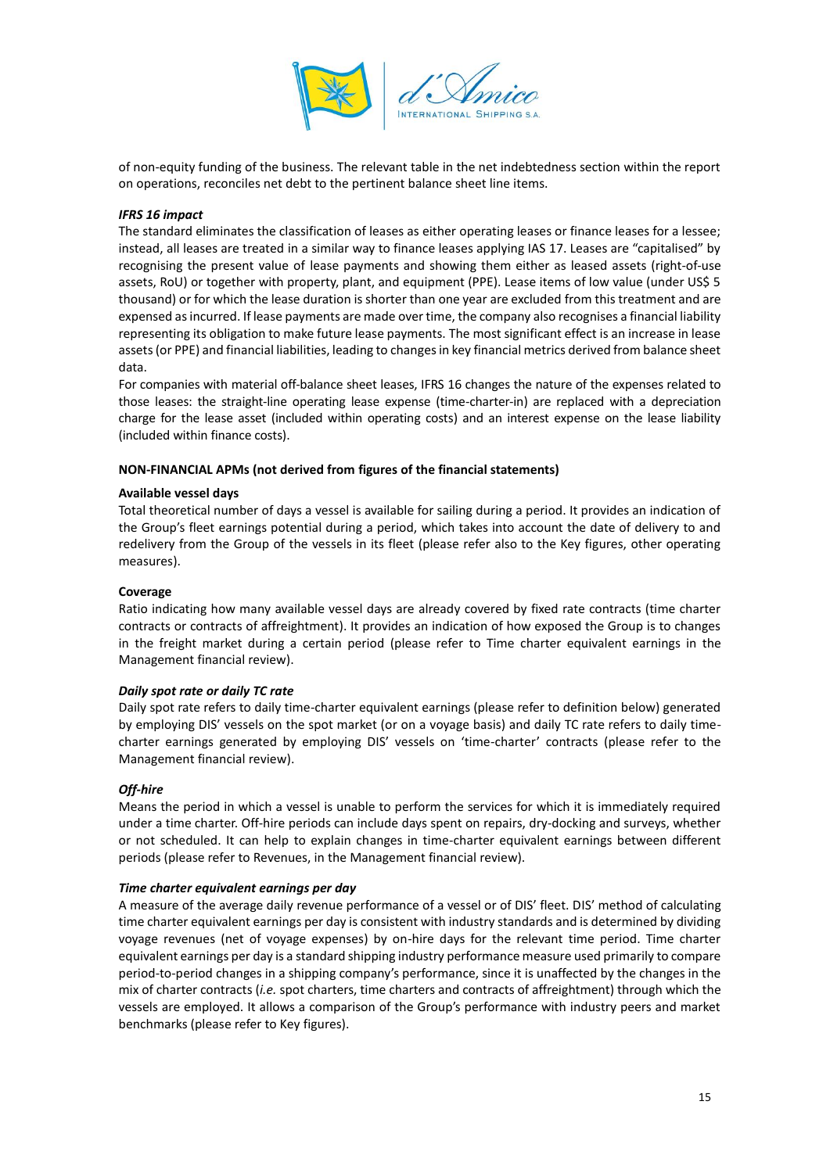

of non-equity funding of the business. The relevant table in the net indebtedness section within the report on operations, reconciles net debt to the pertinent balance sheet line items.

### *IFRS 16 impact*

The standard eliminates the classification of leases as either operating leases or finance leases for a lessee; instead, all leases are treated in a similar way to finance leases applying IAS 17. Leases are "capitalised" by recognising the present value of lease payments and showing them either as leased assets (right-of-use assets, RoU) or together with property, plant, and equipment (PPE). Lease items of low value (under US\$ 5 thousand) or for which the lease duration is shorter than one year are excluded from this treatment and are expensed as incurred. If lease payments are made over time, the company also recognises a financial liability representing its obligation to make future lease payments. The most significant effect is an increase in lease assets(or PPE) and financial liabilities, leading to changes in key financial metrics derived from balance sheet data.

For companies with material off-balance sheet leases, IFRS 16 changes the nature of the expenses related to those leases: the straight-line operating lease expense (time-charter-in) are replaced with a depreciation charge for the lease asset (included within operating costs) and an interest expense on the lease liability (included within finance costs).

#### **NON-FINANCIAL APMs (not derived from figures of the financial statements)**

#### **Available vessel days**

Total theoretical number of days a vessel is available for sailing during a period. It provides an indication of the Group's fleet earnings potential during a period, which takes into account the date of delivery to and redelivery from the Group of the vessels in its fleet (please refer also to the Key figures, other operating measures).

#### **Coverage**

Ratio indicating how many available vessel days are already covered by fixed rate contracts (time charter contracts or contracts of affreightment). It provides an indication of how exposed the Group is to changes in the freight market during a certain period (please refer to Time charter equivalent earnings in the Management financial review).

#### *Daily spot rate or daily TC rate*

Daily spot rate refers to daily time-charter equivalent earnings (please refer to definition below) generated by employing DIS' vessels on the spot market (or on a voyage basis) and daily TC rate refers to daily timecharter earnings generated by employing DIS' vessels on 'time-charter' contracts (please refer to the Management financial review).

#### *Off-hire*

Means the period in which a vessel is unable to perform the services for which it is immediately required under a time charter. Off-hire periods can include days spent on repairs, dry-docking and surveys, whether or not scheduled. It can help to explain changes in time-charter equivalent earnings between different periods (please refer to Revenues, in the Management financial review).

#### *Time charter equivalent earnings per day*

A measure of the average daily revenue performance of a vessel or of DIS' fleet. DIS' method of calculating time charter equivalent earnings per day is consistent with industry standards and is determined by dividing voyage revenues (net of voyage expenses) by on-hire days for the relevant time period. Time charter equivalent earnings per day is a standard shipping industry performance measure used primarily to compare period-to-period changes in a shipping company's performance, since it is unaffected by the changes in the mix of charter contracts (*i.e.* spot charters, time charters and contracts of affreightment) through which the vessels are employed. It allows a comparison of the Group's performance with industry peers and market benchmarks (please refer to Key figures).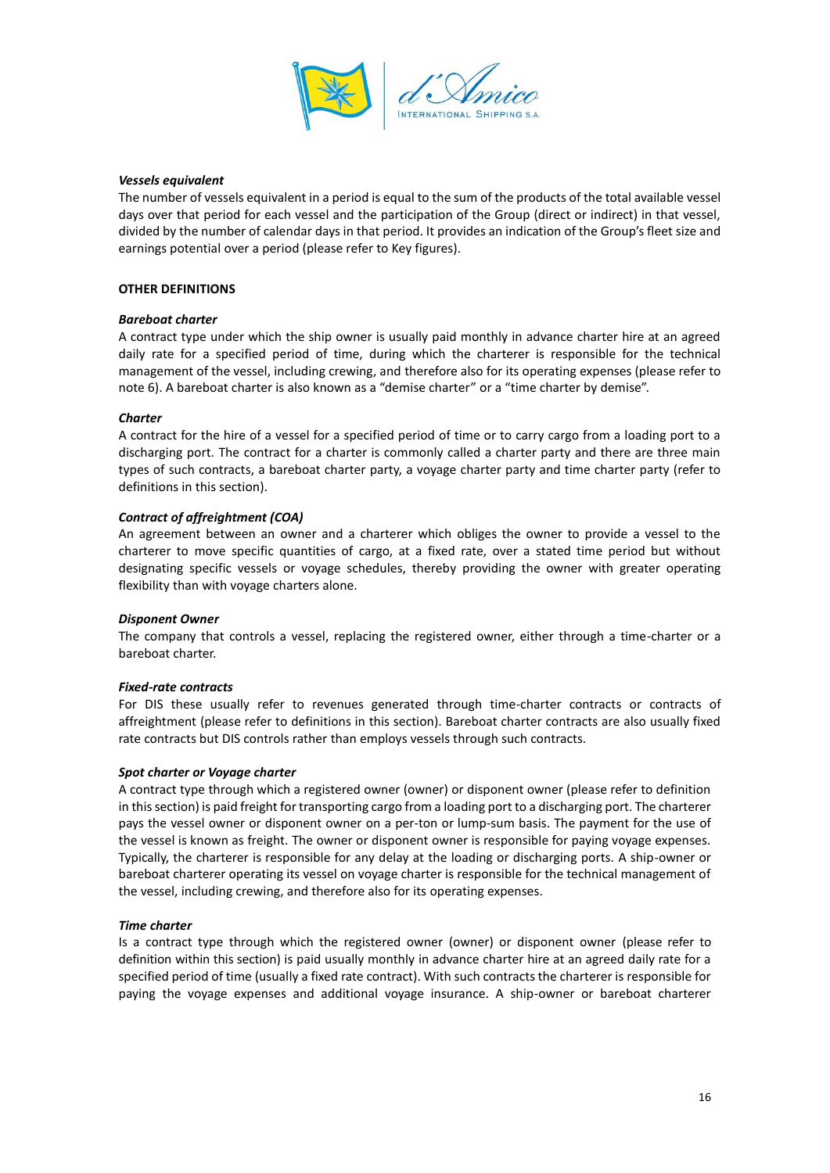

### *Vessels equivalent*

The number of vessels equivalent in a period is equal to the sum of the products of the total available vessel days over that period for each vessel and the participation of the Group (direct or indirect) in that vessel, divided by the number of calendar days in that period. It provides an indication of the Group's fleet size and earnings potential over a period (please refer to Key figures).

### **OTHER DEFINITIONS**

### *Bareboat charter*

A contract type under which the ship owner is usually paid monthly in advance charter hire at an agreed daily rate for a specified period of time, during which the charterer is responsible for the technical management of the vessel, including crewing, and therefore also for its operating expenses (please refer to note 6). A bareboat charter is also known as a "demise charter" or a "time charter by demise".

#### *Charter*

A contract for the hire of a vessel for a specified period of time or to carry cargo from a loading port to a discharging port. The contract for a charter is commonly called a charter party and there are three main types of such contracts, a bareboat charter party, a voyage charter party and time charter party (refer to definitions in this section).

### *Contract of affreightment (COA)*

An agreement between an owner and a charterer which obliges the owner to provide a vessel to the charterer to move specific quantities of cargo, at a fixed rate, over a stated time period but without designating specific vessels or voyage schedules, thereby providing the owner with greater operating flexibility than with voyage charters alone.

#### *Disponent Owner*

The company that controls a vessel, replacing the registered owner, either through a time-charter or a bareboat charter.

#### *Fixed-rate contracts*

For DIS these usually refer to revenues generated through time-charter contracts or contracts of affreightment (please refer to definitions in this section). Bareboat charter contracts are also usually fixed rate contracts but DIS controls rather than employs vessels through such contracts.

#### *Spot charter or Voyage charter*

A contract type through which a registered owner (owner) or disponent owner (please refer to definition in this section) is paid freight for transporting cargo from a loading port to a discharging port. The charterer pays the vessel owner or disponent owner on a per-ton or lump-sum basis. The payment for the use of the vessel is known as freight. The owner or disponent owner is responsible for paying voyage expenses. Typically, the charterer is responsible for any delay at the loading or discharging ports. A ship-owner or bareboat charterer operating its vessel on voyage charter is responsible for the technical management of the vessel, including crewing, and therefore also for its operating expenses.

#### *Time charter*

Is a contract type through which the registered owner (owner) or disponent owner (please refer to definition within this section) is paid usually monthly in advance charter hire at an agreed daily rate for a specified period of time (usually a fixed rate contract). With such contracts the charterer is responsible for paying the voyage expenses and additional voyage insurance. A ship-owner or bareboat charterer